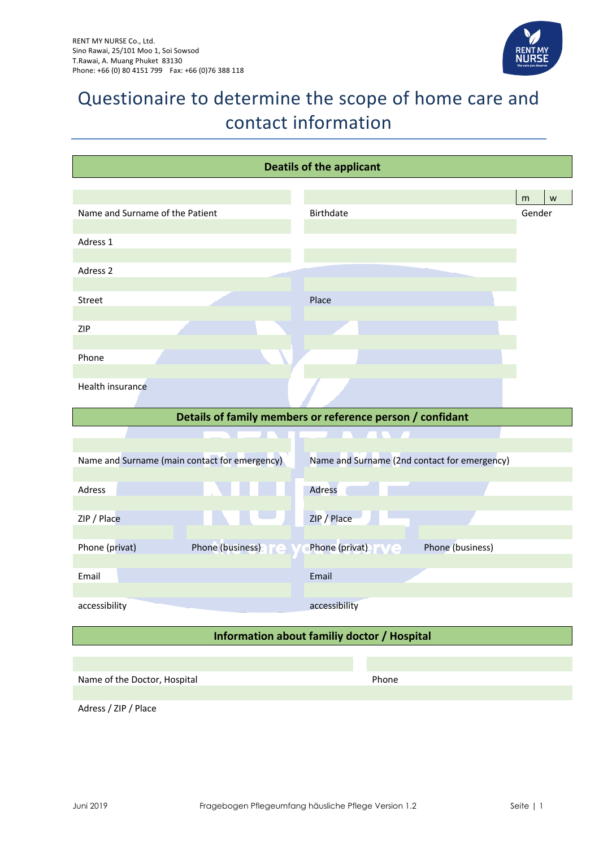

# Questionaire to determine the scope of home care and contact information

| <b>Deatils of the applicant</b>               |                                                           |        |   |
|-----------------------------------------------|-----------------------------------------------------------|--------|---|
|                                               |                                                           | m      | W |
| Name and Surname of the Patient               | <b>Birthdate</b>                                          | Gender |   |
| Adress 1                                      |                                                           |        |   |
| Adress 2                                      |                                                           |        |   |
|                                               |                                                           |        |   |
| Street                                        | Place                                                     |        |   |
| ZIP                                           |                                                           |        |   |
| Phone                                         |                                                           |        |   |
| Health insurance                              |                                                           |        |   |
|                                               |                                                           |        |   |
|                                               | Details of family members or reference person / confidant |        |   |
|                                               |                                                           |        |   |
| Name and Surname (main contact for emergency) | Name and Surname (2nd contact for emergency)              |        |   |
| Adress                                        | Adress                                                    |        |   |
| ZIP / Place                                   | ZIP / Place                                               |        |   |
|                                               |                                                           |        |   |
| Phone (privat)<br>Phone (business)            | Phone (privat) N/C<br>Phone (business)                    |        |   |
| Email                                         | Email                                                     |        |   |
| accessibility                                 | accessibility                                             |        |   |
|                                               | Information about familiy doctor / Hospital               |        |   |
|                                               |                                                           |        |   |
| Name of the Doctor, Hospital                  | Phone                                                     |        |   |
| Adress / ZIP / Place                          |                                                           |        |   |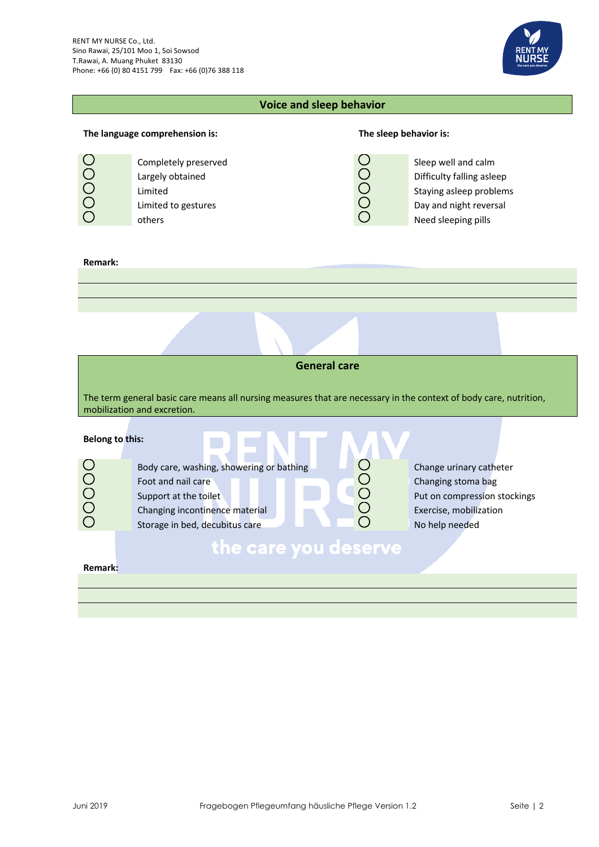

### **Voice and sleep behavior**

## **The language comprehension is: The sleep behavior is:** Completely preserved<br>
Largely obtained<br>
Limited<br>
Limited<br>
timited to gestures<br>
of the staying asleep problement of the staying asleep problement<br>
Completely bay and night revers<br>
Completely bay and night revers<br>
Completely Largely obtained  $\overline{Q}$  Difficulty falling asleep Limited **Staying asleep problems** Limited to gestures  $\Box$  Day and night reversal others **Need sleeping pills**

### **Remark:**

OOOO

|                        | <b>General care</b>                                                                                                                                         |                                                                                                                           |
|------------------------|-------------------------------------------------------------------------------------------------------------------------------------------------------------|---------------------------------------------------------------------------------------------------------------------------|
|                        | The term general basic care means all nursing measures that are necessary in the context of body care, nutrition,<br>mobilization and excretion.            |                                                                                                                           |
| <b>Belong to this:</b> |                                                                                                                                                             |                                                                                                                           |
| OOO                    | Body care, washing, showering or bathing<br>Foot and nail care<br>Support at the toilet<br>Changing incontinence material<br>Storage in bed, decubitus care | Change urinary catheter<br>Changing stoma bag<br>Put on compression stockings<br>Exercise, mobilization<br>No help needed |
| Remark:                | the care you deserve                                                                                                                                        |                                                                                                                           |
|                        |                                                                                                                                                             |                                                                                                                           |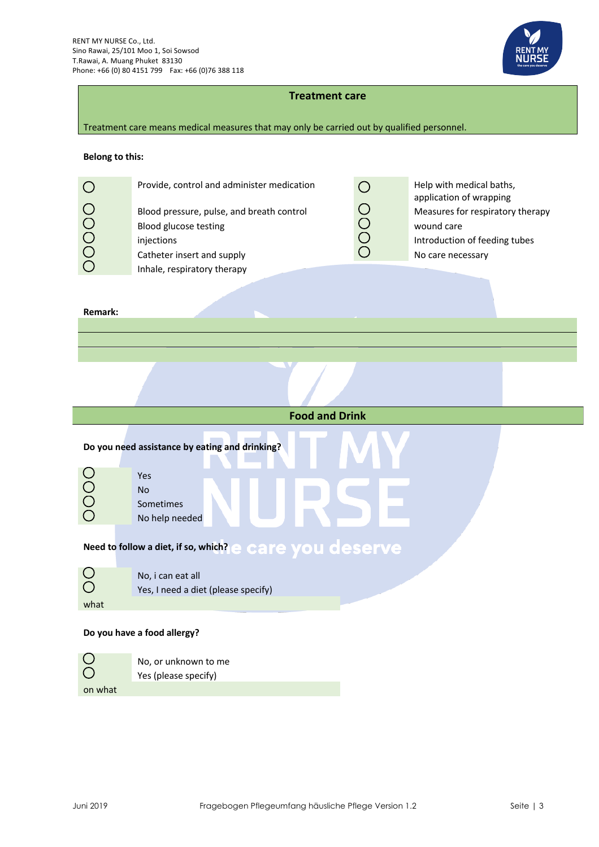

### **Treatment care**

Treatment care means medical measures that may only be carried out by qualified personnel.

### **Belong to this:**

| Provide, control and administer medication<br>Blood pressure, pulse, and breath control<br>Blood glucose testing<br>injections<br>Catheter insert and supply | Help with medical baths,<br>application of wrapping<br>Measures for respiratory therapy<br>wound care<br>Introduction of feeding tubes<br>No care necessary |
|--------------------------------------------------------------------------------------------------------------------------------------------------------------|-------------------------------------------------------------------------------------------------------------------------------------------------------------|
| Inhale, respiratory therapy                                                                                                                                  |                                                                                                                                                             |
|                                                                                                                                                              |                                                                                                                                                             |

### **Remark:**

I

|                     | <b>Food and Drink</b>                                    |
|---------------------|----------------------------------------------------------|
|                     | Do you need assistance by eating and drinking?           |
| OOOO                | Yes<br><b>No</b><br>Sometimes<br>No help needed          |
|                     | Need to follow a diet, if so, which? e care you deserve  |
| $\overline{O}$<br>O | No, i can eat all<br>Yes, I need a diet (please specify) |
| what                |                                                          |
|                     | Do you have a food allergy?                              |
|                     | No, or unknown to me                                     |
|                     | Yes (please specify)                                     |

Yes (please specify)

on what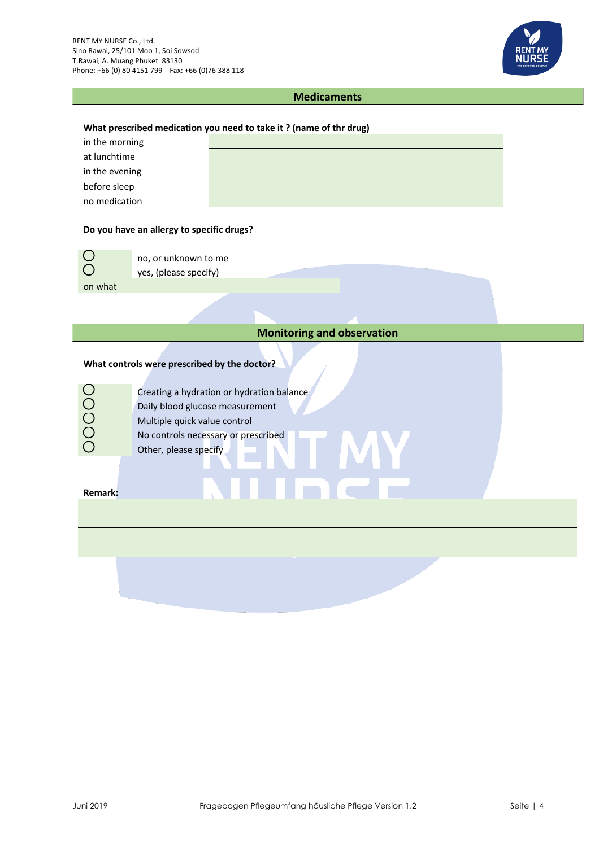

### **Medicaments**

### **What prescribed medication you need to take it ? (name of thr drug)**

| in the morning |  |
|----------------|--|
| at lunchtime   |  |
| in the evening |  |
| before sleep   |  |
| no medication  |  |

### **Do you have an allergy to specific drugs?**

| $\bigcirc$ | no. or unknown to me  |
|------------|-----------------------|
| $\bigcirc$ | yes, (please specify) |
| on what    |                       |

### **Monitoring and observation**

### **What controls were prescribed by the doctor?**

|                  | Creating a hydration or hydration balance |
|------------------|-------------------------------------------|
| $\left( \right)$ | Daily blood glucose measurement           |
| $(\ )$           | Multiple quick value control              |
| $\left( \right)$ | No controls necessary or prescribed       |
|                  | Other, please specify                     |

### **Remark:**